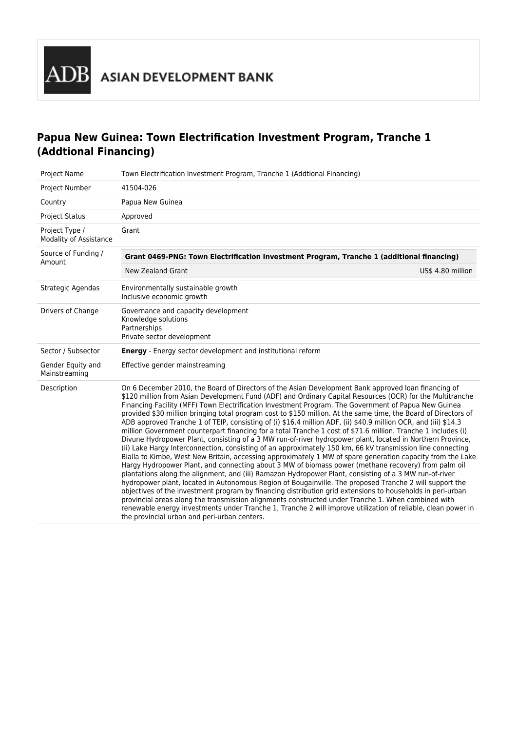# **Papua New Guinea: Town Electrification Investment Program, Tranche 1 (Addtional Financing)**

| Project Name                             | Town Electrification Investment Program, Tranche 1 (Addtional Financing)                                                                                                                                                                                                                                                                                                                                                                                                                                                                                                                                                                                                                                                                                                                                                                                                                                                                                                                                                                                                                                                                                                                                                                                                                                                                                                                                                                                                                                                                                                                                                                                                                                                                  |  |  |
|------------------------------------------|-------------------------------------------------------------------------------------------------------------------------------------------------------------------------------------------------------------------------------------------------------------------------------------------------------------------------------------------------------------------------------------------------------------------------------------------------------------------------------------------------------------------------------------------------------------------------------------------------------------------------------------------------------------------------------------------------------------------------------------------------------------------------------------------------------------------------------------------------------------------------------------------------------------------------------------------------------------------------------------------------------------------------------------------------------------------------------------------------------------------------------------------------------------------------------------------------------------------------------------------------------------------------------------------------------------------------------------------------------------------------------------------------------------------------------------------------------------------------------------------------------------------------------------------------------------------------------------------------------------------------------------------------------------------------------------------------------------------------------------------|--|--|
| Project Number                           | 41504-026                                                                                                                                                                                                                                                                                                                                                                                                                                                                                                                                                                                                                                                                                                                                                                                                                                                                                                                                                                                                                                                                                                                                                                                                                                                                                                                                                                                                                                                                                                                                                                                                                                                                                                                                 |  |  |
| Country                                  | Papua New Guinea                                                                                                                                                                                                                                                                                                                                                                                                                                                                                                                                                                                                                                                                                                                                                                                                                                                                                                                                                                                                                                                                                                                                                                                                                                                                                                                                                                                                                                                                                                                                                                                                                                                                                                                          |  |  |
| <b>Project Status</b>                    | Approved                                                                                                                                                                                                                                                                                                                                                                                                                                                                                                                                                                                                                                                                                                                                                                                                                                                                                                                                                                                                                                                                                                                                                                                                                                                                                                                                                                                                                                                                                                                                                                                                                                                                                                                                  |  |  |
| Project Type /<br>Modality of Assistance | Grant                                                                                                                                                                                                                                                                                                                                                                                                                                                                                                                                                                                                                                                                                                                                                                                                                                                                                                                                                                                                                                                                                                                                                                                                                                                                                                                                                                                                                                                                                                                                                                                                                                                                                                                                     |  |  |
| Source of Funding /<br>Amount            | Grant 0469-PNG: Town Electrification Investment Program, Tranche 1 (additional financing)                                                                                                                                                                                                                                                                                                                                                                                                                                                                                                                                                                                                                                                                                                                                                                                                                                                                                                                                                                                                                                                                                                                                                                                                                                                                                                                                                                                                                                                                                                                                                                                                                                                 |  |  |
|                                          | <b>New Zealand Grant</b><br>US\$ 4.80 million                                                                                                                                                                                                                                                                                                                                                                                                                                                                                                                                                                                                                                                                                                                                                                                                                                                                                                                                                                                                                                                                                                                                                                                                                                                                                                                                                                                                                                                                                                                                                                                                                                                                                             |  |  |
| Strategic Agendas                        | Environmentally sustainable growth<br>Inclusive economic growth                                                                                                                                                                                                                                                                                                                                                                                                                                                                                                                                                                                                                                                                                                                                                                                                                                                                                                                                                                                                                                                                                                                                                                                                                                                                                                                                                                                                                                                                                                                                                                                                                                                                           |  |  |
| Drivers of Change                        | Governance and capacity development<br>Knowledge solutions<br>Partnerships<br>Private sector development                                                                                                                                                                                                                                                                                                                                                                                                                                                                                                                                                                                                                                                                                                                                                                                                                                                                                                                                                                                                                                                                                                                                                                                                                                                                                                                                                                                                                                                                                                                                                                                                                                  |  |  |
| Sector / Subsector                       | <b>Energy</b> - Energy sector development and institutional reform                                                                                                                                                                                                                                                                                                                                                                                                                                                                                                                                                                                                                                                                                                                                                                                                                                                                                                                                                                                                                                                                                                                                                                                                                                                                                                                                                                                                                                                                                                                                                                                                                                                                        |  |  |
| Gender Equity and<br>Mainstreaming       | Effective gender mainstreaming                                                                                                                                                                                                                                                                                                                                                                                                                                                                                                                                                                                                                                                                                                                                                                                                                                                                                                                                                                                                                                                                                                                                                                                                                                                                                                                                                                                                                                                                                                                                                                                                                                                                                                            |  |  |
| Description                              | On 6 December 2010, the Board of Directors of the Asian Development Bank approved loan financing of<br>\$120 million from Asian Development Fund (ADF) and Ordinary Capital Resources (OCR) for the Multitranche<br>Financing Facility (MFF) Town Electrification Investment Program. The Government of Papua New Guinea<br>provided \$30 million bringing total program cost to \$150 million. At the same time, the Board of Directors of<br>ADB approved Tranche 1 of TEIP, consisting of (i) \$16.4 million ADF, (ii) \$40.9 million OCR, and (iii) \$14.3<br>million Government counterpart financing for a total Tranche 1 cost of \$71.6 million. Tranche 1 includes (i)<br>Divune Hydropower Plant, consisting of a 3 MW run-of-river hydropower plant, located in Northern Province,<br>(ii) Lake Hargy Interconnection, consisting of an approximately 150 km, 66 kV transmission line connecting<br>Bialla to Kimbe, West New Britain, accessing approximately 1 MW of spare generation capacity from the Lake<br>Hargy Hydropower Plant, and connecting about 3 MW of biomass power (methane recovery) from palm oil<br>plantations along the alignment, and (iii) Ramazon Hydropower Plant, consisting of a 3 MW run-of-river<br>hydropower plant, located in Autonomous Region of Bougainville. The proposed Tranche 2 will support the<br>objectives of the investment program by financing distribution grid extensions to households in peri-urban<br>provincial areas along the transmission alignments constructed under Tranche 1. When combined with<br>renewable energy investments under Tranche 1, Tranche 2 will improve utilization of reliable, clean power in<br>the provincial urban and peri-urban centers. |  |  |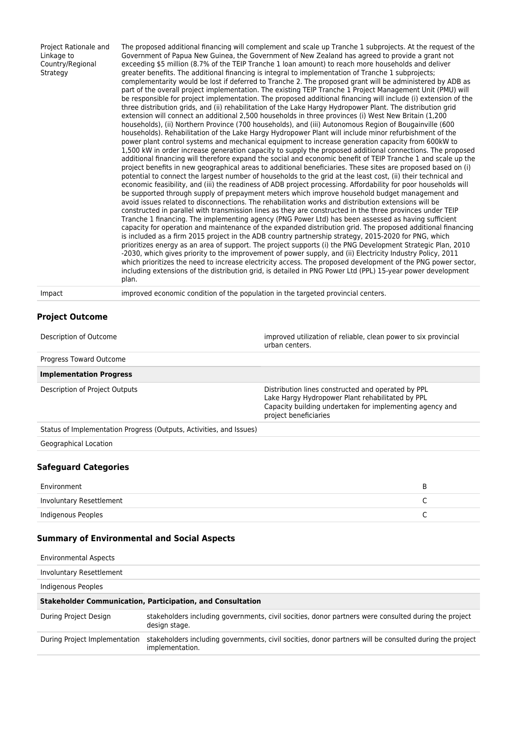| Project Rationale and<br>Linkage to<br>Country/Regional<br>Strategy | The proposed additional financing will complement and scale up Tranche 1 subprojects. At the request of the<br>Government of Papua New Guinea, the Government of New Zealand has agreed to provide a grant not<br>exceeding \$5 million (8.7% of the TEIP Tranche 1 loan amount) to reach more households and deliver<br>greater benefits. The additional financing is integral to implementation of Tranche 1 subprojects;<br>complementarity would be lost if deferred to Tranche 2. The proposed grant will be administered by ADB as<br>part of the overall project implementation. The existing TEIP Tranche 1 Project Management Unit (PMU) will<br>be responsible for project implementation. The proposed additional financing will include (i) extension of the<br>three distribution grids, and (ii) rehabilitation of the Lake Hargy Hydropower Plant. The distribution grid<br>extension will connect an additional 2,500 households in three provinces (i) West New Britain (1,200<br>households), (ii) Northern Province (700 households), and (iii) Autonomous Region of Bougainville (600<br>households). Rehabilitation of the Lake Hargy Hydropower Plant will include minor refurbishment of the<br>power plant control systems and mechanical equipment to increase generation capacity from 600kW to<br>1,500 kW in order increase generation capacity to supply the proposed additional connections. The proposed<br>additional financing will therefore expand the social and economic benefit of TEIP Tranche 1 and scale up the<br>project benefits in new geographical areas to additional beneficiaries. These sites are proposed based on (i)<br>potential to connect the largest number of households to the grid at the least cost, (ii) their technical and<br>economic feasibility, and (iii) the readiness of ADB project processing. Affordability for poor households will<br>be supported through supply of prepayment meters which improve household budget management and<br>avoid issues related to disconnections. The rehabilitation works and distribution extensions will be<br>constructed in parallel with transmission lines as they are constructed in the three provinces under TEIP<br>Tranche 1 financing. The implementing agency (PNG Power Ltd) has been assessed as having sufficient<br>capacity for operation and maintenance of the expanded distribution grid. The proposed additional financing<br>is included as a firm 2015 project in the ADB country partnership strategy, 2015-2020 for PNG, which<br>prioritizes energy as an area of support. The project supports (i) the PNG Development Strategic Plan, 2010<br>-2030, which gives priority to the improvement of power supply, and (ii) Electricity Industry Policy, 2011<br>which prioritizes the need to increase electricity access. The proposed development of the PNG power sector,<br>including extensions of the distribution grid, is detailed in PNG Power Ltd (PPL) 15-year power development<br>plan. |
|---------------------------------------------------------------------|-----------------------------------------------------------------------------------------------------------------------------------------------------------------------------------------------------------------------------------------------------------------------------------------------------------------------------------------------------------------------------------------------------------------------------------------------------------------------------------------------------------------------------------------------------------------------------------------------------------------------------------------------------------------------------------------------------------------------------------------------------------------------------------------------------------------------------------------------------------------------------------------------------------------------------------------------------------------------------------------------------------------------------------------------------------------------------------------------------------------------------------------------------------------------------------------------------------------------------------------------------------------------------------------------------------------------------------------------------------------------------------------------------------------------------------------------------------------------------------------------------------------------------------------------------------------------------------------------------------------------------------------------------------------------------------------------------------------------------------------------------------------------------------------------------------------------------------------------------------------------------------------------------------------------------------------------------------------------------------------------------------------------------------------------------------------------------------------------------------------------------------------------------------------------------------------------------------------------------------------------------------------------------------------------------------------------------------------------------------------------------------------------------------------------------------------------------------------------------------------------------------------------------------------------------------------------------------------------------------------------------------------------------------------------------------------------------------------------------------------------------------------------------------------------------------------------------------------------------------------------------------------------------------------------------------------------------------------------------------------------------------------------------------------|
| Impact                                                              | improved economic condition of the population in the targeted provincial centers.                                                                                                                                                                                                                                                                                                                                                                                                                                                                                                                                                                                                                                                                                                                                                                                                                                                                                                                                                                                                                                                                                                                                                                                                                                                                                                                                                                                                                                                                                                                                                                                                                                                                                                                                                                                                                                                                                                                                                                                                                                                                                                                                                                                                                                                                                                                                                                                                                                                                                                                                                                                                                                                                                                                                                                                                                                                                                                                                                       |

# **Project Outcome**

| Description of Outcome                                              | improved utilization of reliable, clean power to six provincial<br>urban centers.                                                                                                           |
|---------------------------------------------------------------------|---------------------------------------------------------------------------------------------------------------------------------------------------------------------------------------------|
| Progress Toward Outcome                                             |                                                                                                                                                                                             |
| <b>Implementation Progress</b>                                      |                                                                                                                                                                                             |
| Description of Project Outputs                                      | Distribution lines constructed and operated by PPL<br>Lake Hargy Hydropower Plant rehabilitated by PPL<br>Capacity building undertaken for implementing agency and<br>project beneficiaries |
| Status of Implementation Progress (Outputs, Activities, and Issues) |                                                                                                                                                                                             |
| Geographical Location                                               |                                                                                                                                                                                             |
| <b>Safeguard Categories</b>                                         |                                                                                                                                                                                             |

| Environment              |  |
|--------------------------|--|
| Involuntary Resettlement |  |
| Indigenous Peoples       |  |

# **Summary of Environmental and Social Aspects**

| <b>Environmental Aspects</b>                                      |                                                                                                                            |  |
|-------------------------------------------------------------------|----------------------------------------------------------------------------------------------------------------------------|--|
| Involuntary Resettlement                                          |                                                                                                                            |  |
| Indigenous Peoples                                                |                                                                                                                            |  |
| <b>Stakeholder Communication, Participation, and Consultation</b> |                                                                                                                            |  |
| During Project Design                                             | stakeholders including governments, civil socities, donor partners were consulted during the project<br>design stage.      |  |
| During Project Implementation                                     | stakeholders including governments, civil socities, donor partners will be consulted during the project<br>implementation. |  |